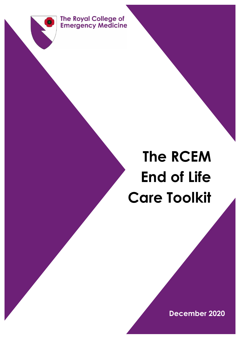

# **The RCEM End of Life Care Toolkit**

**December 2020**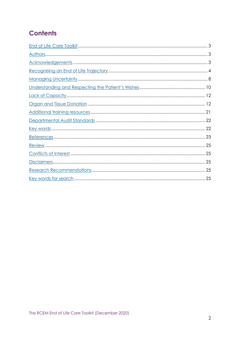# **Contents**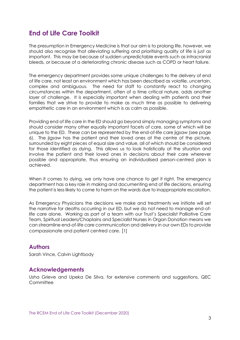## <span id="page-2-0"></span>**End of Life Care Toolkit**

The presumption in Emergency Medicine is that our aim is to prolong life, however, we should also recognise that alleviating suffering and prioritising quality of life is just as important. This may be because of sudden unpredictable events such as intracranial bleeds, or because of a deteriorating chronic disease such as COPD or heart failure.

The emergency department provides some unique challenges to the delivery of end of life care, not least an environment which has been described as volatile, uncertain, complex and ambiguous. The need for staff to constantly react to changing circumstances within the department, often of a time critical nature, adds another layer of challenge. It is especially important when dealing with patients and their families that we strive to provide to make as much time as possible to delivering empathetic care in an environment which is as calm as possible.

Providing end of life care in the ED should go beyond simply managing symptoms and should consider many other equally important facets of care, some of which will be unique to the ED. These can be represented by the end-of-life care jigsaw (see page 6). The jigsaw has the patient and their loved ones at the centre of the picture, surrounded by eight pieces of equal size and value, all of which should be considered for those identified as dying. This allows us to look holistically at the situation and involve the patient and their loved ones in decisions about their care wherever possible and appropriate, thus ensuring an individualised person-centred plan is achieved.

When it comes to dying, we only have one chance to get it right. The emergency department has a key role in making and documenting end of life decisions, ensuring the patient is less likely to come to harm on the wards due to inappropriate escalation.

As Emergency Physicians the decisions we make and treatments we initiate will set the narrative for deaths occurring in our ED, but we do not need to manage end-oflife care alone. Working as part of a team with our Trust's Specialist Palliative Care Team, Spiritual Leaders/Chaplains and Specialist Nurses in Organ Donation means we can streamline end-of-life care communication and delivery in our own EDs to provide compassionate and patient centred care. [1]

#### **Authors**

Sarah Vince, Calvin Lightbody

#### **Acknowledgements**

Usha Grieve and Upeka De Silva, for extensive comments and suggestions, QEC **Committee**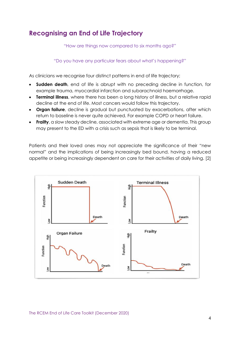# <span id="page-3-0"></span>**Recognising an End of Life Trajectory**

"How are things now compared to six months ago?"

"Do you have any particular fears about what's happening?"

As clinicians we recognise four distinct patterns in end of life trajectory;

- **Sudden death**, end of life is abrupt with no preceding decline in function, for example trauma, myocardial infarction and subarachnoid haemorrhage.
- **Terminal illness**, where there has been a long history of illness, but a relative rapid decline at the end of life. Most cancers would follow this trajectory.
- **Organ failure**, decline is gradual but punctuated by exacerbations, after which return to baseline is never quite achieved. For example COPD or heart failure.
- **Frailty**, a slow steady decline, associated with extreme age or dementia. This group may present to the ED with a crisis such as sepsis that is likely to be terminal.

Patients and their loved ones may not appreciate the significance of their "new normal" and the implications of being increasingly bed bound, having a reduced appetite or being increasingly dependent on care for their activities of daily living. [2]



The RCEM End of Life Care Toolkit (December 2020)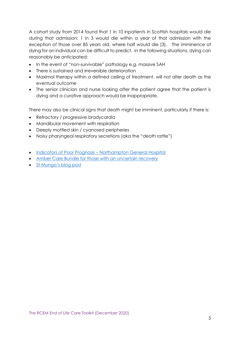A cohort study from 2014 found that 1 in 10 inpatients in Scottish hospitals would die during that admission: 1 in 3 would die within a year of that admission with the exception of those over 85 years old, where half would die [3]. The imminence of dying for an individual can be difficult to predict. In the following situations, dying can reasonably be anticipated:

- In the event of "non-survivable" pathology e.g. massive SAH
- There is sustained and irreversible deterioration
- Maximal therapy within a defined ceiling of treatment, will not alter death as the eventual outcome
- The senior clinician and nurse looking after the patient agree that the patient is dying and a curative approach would be inappropriate.

There may also be clinical signs that death might be imminent, particularly if there is:

- Refractory / progressive bradycardia
- Mandibular movement with respiration
- Deeply mottled skin / cyanosed peripheries
- Noisy pharyngeal respiratory secretions (aka the "death rattle")
- Indicators of Poor Prognosis [Northampton General Hospital](https://www.rcem.ac.uk/docs/RCEM%20Guidance/Indicators%20of%20Poor%20Prognosis%20NGH%202018.pdf)
- [Amber Care Bundle for those with an uncertain recovery](https://www.guysandstthomas.nhs.uk/our-services/palliative-care/amber-care-bundle.aspx)
- [St Mungo's blog post](https://stmungos-ed.com/blog/palliativecare)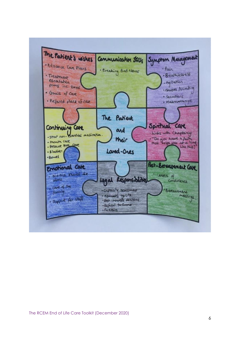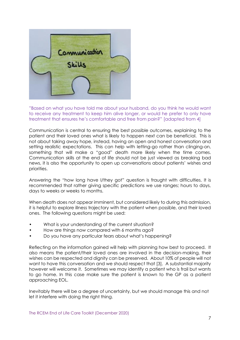

"Based on what you have told me about your husband, do you think he would want to receive any treatment to keep him alive longer, or would he prefer to only have treatment that ensures he's comfortable and free from pain?" [adapted from 4]

Communication is central to ensuring the best possible outcomes, explaining to the patient and their loved ones what is likely to happen next can be beneficial. This is not about taking away hope, instead, having an open and honest conversation and setting realistic expectations. This can help with letting-go rather than clinging-on, something that will make a "good" death more likely when the time comes. Communication skills at the end of life should not be just viewed as breaking bad news, it is also the opportunity to open up conversations about patients' wishes and priorities.

Answering the "how long have I/they got" question is fraught with difficulties. It is recommended that rather giving specific predictions we use ranges; hours to days, days to weeks or weeks to months.

When death does not appear imminent, but considered likely to during this admission, it is helpful to explore illness trajectory with the patient when possible, and their loved ones. The following questions might be used:

- What is your understanding of the current situation?
- How are things now compared with 6 months ago?
- Do you have any particular fears about what's happening?

Reflecting on the information gained will help with planning how best to proceed. It also means the patient/their loved ones are involved in the decision-making, their wishes can be respected and dignity can be preserved. About 10% of people will not want to have this conversation and we should respect that [3]. A substantial majority however will welcome it. Sometimes we may identify a patient who is frail but wants to go home. In this case make sure the patient is known to the GP as a patient approaching EOL.

Inevitably there will be a degree of uncertainty, but we should manage this and not let it interfere with doing the right thing.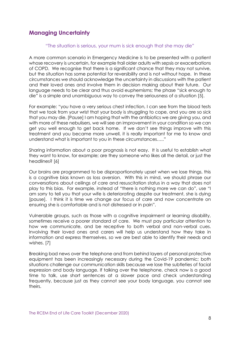### **Managing Uncertainty**

#### "The situation is serious, your mum is sick enough that she may die"

A more common scenario in Emergency Medicine is to be presented with a patient whose recovery is uncertain, for example frail older adults with sepsis or exacerbations of COPD. We recognise that there is a significant chance that they may not survive, but the situation has some potential for reversibility and is not without hope. In these circumstances we should acknowledge the uncertainty in discussions with the patient and their loved ones and involve them in decision making about their future. Our language needs to be clear and thus avoid euphemisms; the phase "sick enough to die" is a simple and unambiguous way to convey the seriousness of a situation [5].

For example: "you have a very serious chest infection, I can see from the blood tests that we took from your wrist that your body is struggling to cope, and you are so sick that you may die. [Pause] I am hoping that with the antibiotics we are giving you, and with more of these nebulisers, we will see an improvement in your condition so we can get you well enough to get back home. If we don't see things improve with this treatment and you became more unwell, it is really important for me to know and understand what is important to you in these circumstances….."

Sharing information about a poor prognosis is not easy. It is useful to establish what they want to know, for example; are they someone who likes all the detail, or just the headlines? [6]

Our brains are programmed to be disproportionately upset when we lose things, this is a cognitive bias known as loss aversion. With this in mind, we should phrase our conversations about ceilings of care and resuscitation status in a way that does not play to this bias. For example, instead of "there is nothing more we can do", use "I am sorry to tell you that your wife is deteriorating despite our treatment, she is dying [pause]. I think it is time we change our focus of care and now concentrate on ensuring she is comfortable and is not distressed or in pain".

Vulnerable groups, such as those with a cognitive impairment or learning disability, sometimes receive a poorer standard of care. We must pay particular attention to how we communicate, and be receptive to both verbal and non-verbal cues. Involving their loved ones and carers will help us understand how they take in information and express themselves, so we are best able to identify their needs and wishes. [7]

Breaking bad news over the telephone and from behind layers of personal protective equipment has been increasingly necessary during the Covid-19 pandemic; both situations challenge our communication skills because we lose the subtleties of facial expression and body language. If talking over the telephone, check now is a good time to talk, use short sentences at a slower pace and check understanding frequently, because just as they cannot see your body language, you cannot see theirs.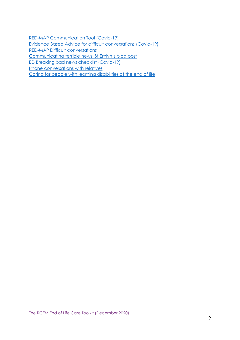[RED-MAP Communication Tool \(Covid-19\)](https://www.ec4h.org.uk/covid-19-effective-communication-for-professionals/) [Evidence Based Advice for difficult conversations \(Covid-19\)](https://www.realtalktraining.co.uk/app/uploads/2020/03/COVID-19-Evidence-based-advice-for-difficult-conversations-2.pdf) [RED-MAP Difficult conversations](https://www.rcem.ac.uk/docs/RCEM%20Guidance/RED_Difficult_Conversations.pdf) [Communicating terrible news: St Emlyn's blog post](https://www.stemlynsblog.org/communicating-terrible-news-can-we-do-it-better-liz-crowe-at-st-emlyns/) [ED Breaking bad news checklist \(Covid-19\)](https://www.rcem.ac.uk/docs/RCEM%20Guidance/Breaking_bad_news_checklist_covid.pdf)

[Phone conversations with relatives](https://www.rcem.ac.uk/docs/RCEM%20Guidance/Phone_conversations_with_relatives.jpeg)

[Caring for people with learning disabilities at the end of life](https://www.mariecurie.org.uk/professionals/palliative-care-knowledge-zone/equality-diversity/learning-disability)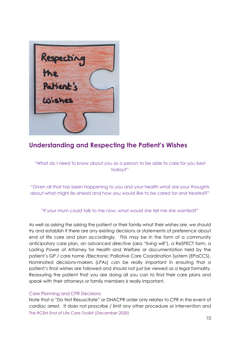

# **Understanding and Respecting the Patient's Wishes**

"What do I need to know about you as a person to be able to care for you best today?"

"Given all that has been happening to you and your health what are your thoughts about what might lie ahead and how you would like to be cared for and treated?"

#### "If your mum could talk to me now, what would she tell me she wanted?"

As well as asking the asking the patient or their family what their wishes are, we should try and establish if there are any existing decisions or statements of preference about end of life care and plan accordingly. This may be in the form of a community anticipatory care plan, an advanced directive (aka "living will"), a ReSPECT form, a Lasting Power of Attorney for Health and Welfare or documentation held by the patient's GP / care home /Electronic Palliative Care Coordination System (EPaCCS). Nominated decisions-makers (LPAs) can be really important in ensuring that a patient's final wishes are followed and should not just be viewed as a legal formality. Reassuring the patient that you are doing all you can to find their care plans and speak with their attorneys or family members is really important.

#### Care Planning and CPR Decisions

The RCEM End of Life Care Toolkit (December 2020) Note that a "Do Not Resuscitate" or DNACPR order only relates to CPR in the event of cardiac arrest. It does not proscribe / limit any other procedure or intervention and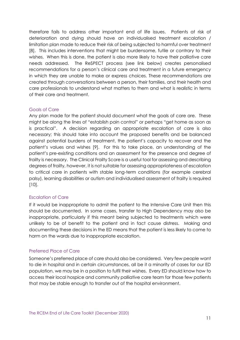therefore fails to address other important end of life issues. Patients at risk of deterioration and dying should have an individualised treatment escalation / limitation plan made to reduce their risk of being subjected to harmful over treatment [8]. This includes interventions that might be burdensome, futile or contrary to their wishes. When this is done, the patient is also more likely to have their palliative care needs addressed. The ReSPECT process (see link below) creates personalised recommendations for a person's clinical care and treatment in a future emergency in which they are unable to make or express choices. These recommendations are created through conversations between a person, their families, and their health and care professionals to understand what matters to them and what is realistic in terms of their care and treatment.

#### Goals of Care

Any plan made for the patient should document what the goals of care are. These might be along the lines of "establish pain control" or perhaps "get home as soon as is practical". A decision regarding an appropriate escalation of care is also necessary; this should take into account the proposed benefits and be balanced against potential burdens of treatment, the patient's capacity to recover and the patient's values and wishes [9]. For this to take place, an understanding of the patient's pre-existing conditions and an assessment for the presence and degree of frailty is necessary. The Clinical Frailty Score is a useful tool for assessing and describing degrees of frailty, however, it is not suitable for assessing appropriateness of escalation to critical care in patients with stable long-term conditions (for example cerebral palsy), learning disabilities or autism and individualised assessment of frailty is required [10].

#### Escalation of Care

If it would be inappropriate to admit the patient to the Intensive Care Unit then this should be documented. In some cases, transfer to High Dependency may also be inappropriate, particularly if this meant being subjected to treatments which were unlikely to be of benefit to the patient and in fact cause distress. Making and documenting these decisions in the ED means that the patient is less likely to come to harm on the wards due to inappropriate escalation.

#### Preferred Place of Care

Someone's preferred place of care should also be considered. Very few people want to die in hospital and in certain circumstances, all be it a minority of cases for our ED population, we may be in a position to fulfil their wishes. Every ED should know how to access their local hospice and community palliative care team for those few patients that may be stable enough to transfer out of the hospital environment.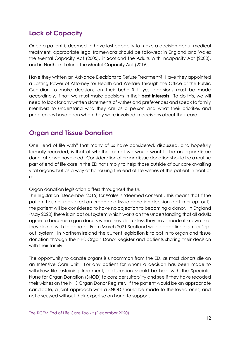# **Lack of Capacity**

Once a patient is deemed to have lost capacity to make a decision about medical treatment, appropriate legal frameworks should be followed; in England and Wales the Mental Capacity Act (2005), in Scotland the Adults With Incapacity Act (2000), and in Northern Ireland the Mental Capacity Act (2016).

Have they written an Advance Decisions to Refuse Treatment? Have they appointed a Lasting Power of Attorney for Health and Welfare through the Office of the Public Guardian to make decisions on their behalf? If yes, decisions must be made accordingly. If not, we must make decisions in their **best interests**. To do this, we will need to look for any written statements of wishes and preferences and speak to family members to understand who they are as a person and what their priorities and preferences have been when they were involved in decisions about their care.

# **Organ and Tissue Donation**

One "end of life wish" that many of us have considered, discussed, and hopefully formally recorded, is that of whether or not we would want to be an organ/tissue donor after we have died. Consideration of organ/tissue donation should be a routine part of end of life care in the ED not simply to help those outside of our care awaiting vital organs, but as a way of honouring the end of life wishes of the patient in front of us.

Organ donation legislation differs throughout the UK:

The legislation (December 2015) for Wales is 'deemed consent'. This means that if the patient has not registered an organ and tissue donation decision (opt in or opt out), the patient will be considered to have no objection to becoming a donor. In England (May 2020) there is an opt out system which works on the understanding that all adults agree to become organ donors when they die, unless they have made it known that they do not wish to donate. From March 2021 Scotland will be adopting a similar 'opt out' system. In Northern Ireland the current legislation is to opt in to organ and tissue donation through the NHS Organ Donor Register and patients sharing their decision with their family.

The opportunity to donate organs is uncommon from the ED, as most donors die on an Intensive Care Unit. For any patient for whom a decision has been made to withdraw life-sustaining treatment, a discussion should be held with the Specialist Nurse for Organ Donation (SNOD) to consider suitability and see if they have recoded their wishes on the NHS Organ Donor Register. If the patient would be an appropriate candidate, a joint approach with a SNOD should be made to the loved ones, and not discussed without their expertise on hand to support.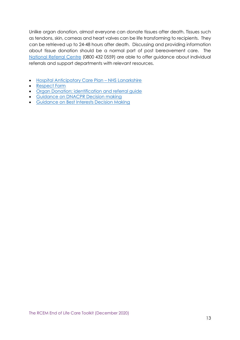Unlike organ donation, almost everyone can donate tissues after death. Tissues such as tendons, skin, corneas and heart valves can be life transforming to recipients. They can be retrieved up to 24-48 hours after death. Discussing and providing information about tissue donation should be a normal part of post bereavement care. The [National Referral Centre](mailto:tissue.donation@nhsbt.nhs.uk) (0800 432 0559) are able to offer guidance about individual referrals and support departments with relevant resources.

- [Hospital Anticipatory Care Plan](https://www.rcem.ac.uk/docs/RCEM%20Guidance/HACP%20At%20Point%20of%20Admission%20August%202018.pdf)  NHS Lanarkshire
- [Respect Form](https://www.resus.org.uk/respect)
- [Organ Donation: identification and referral guide](https://nhsbtdbe.blob.core.windows.net/umbraco-assets-corp/17645/identification-and-referral-of-potential-organ-donors-18072019.pdf)
- [Guidance on DNACPR Decision making](https://www.gmc-uk.org/ethical-guidance/ethical-guidance-for-doctors/treatment-and-care-towards-the-end-of-life/cardiopulmonary-resuscitation-cpr)
- [Guidance on Best Interests Decision Making](https://www.bma.org.uk/media/1850/bma-best-interests-toolkit-2019.pdf)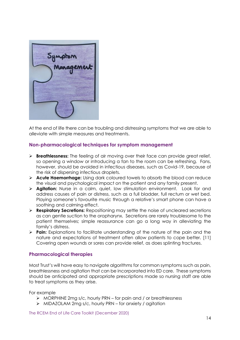

At the end of life there can be troubling and distressing symptoms that we are able to alleviate with simple measures and treatments.

#### **Non-pharmacological techniques for symptom management**

- ➢ **Breathlessness:** The feeling of air moving over their face can provide great relief, so opening a window or introducing a fan to the room can be refreshing. Fans, however, should be avoided in infectious diseases, such as Covid-19, because of the risk of dispersing infectious droplets.
- ➢ **Acute Haemorrhage:** Using dark coloured towels to absorb the blood can reduce the visual and psychological impact on the patient and any family present.
- ➢ **Agitation:** Nurse in a calm, quiet, low stimulation environment. Look for and address causes of pain or distress, such as a full bladder, full rectum or wet bed. Playing someone's favourite music through a relative's smart phone can have a soothing and calming effect.
- ➢ **Respiratory Secretions:** Repositioning may settle the noise of uncleared secretions as can gentle suction to the oropharynx. Secretions are rarely troublesome to the patient themselves; simple reassurance can go a long way in alleviating the family's distress.
- ➢ **Pain:** Explanations to facilitate understanding of the nature of the pain and the nature and expectations of treatment often allow patients to cope better. [11] Covering open wounds or sores can provide relief, as does splinting fractures.

#### **Pharmacological therapies**

Most Trust's will have easy to navigate algorithms for common symptoms such as pain, breathlessness and agitation that can be incorporated into ED care. These symptoms should be anticipated and appropriate prescriptions made so nursing staff are able to treat symptoms as they arise.

For example

- ➢ MORPHINE 2mg s/c, hourly PRN for pain and / or breathlessness
- ➢ MIDAZOLAM 2mg s/c, hourly PRN for anxiety / agitation

The RCEM End of Life Care Toolkit (December 2020)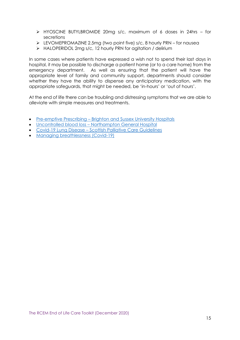- ➢ HYOSCINE BUTYLBROMIDE 20mg s/c, maximum of 6 doses in 24hrs for secretions
- ➢ LEVOMEPROMAZINE 2.5mg (two point five) s/c, 8 hourly PRN for nausea
- ➢ HALOPERIDOL 2mg s/c, 12 hourly PRN for agitation / delirium

In some cases where patients have expressed a wish not to spend their last days in hospital, it may be possible to discharge a patient home (or to a care home) from the emergency department. As well as ensuring that the patient will have the appropriate level of family and community support, departments should consider whether they have the ability to dispense any anticipatory medication, with the appropriate safeguards, that might be needed, be 'in-hours' or 'out of hours'.

At the end of life there can be troubling and distressing symptoms that we are able to alleviate with simple measures and treatments.

- Pre-emptive Prescribing Brighton and [Sussex University Hospitals](https://www.rcem.ac.uk/docs/RCEM%20Guidance/Pre-emptive%20medications%20Brighton%20and%20Sussex%202018.pdf)
- Uncontrolled blood loss [Northampton General Hospital](https://www.rcem.ac.uk/docs/RCEM%20Guidance/Uncontrolled%20Blood%20Loss%20Northampton%20General%20Hospital.pdf)
- Covid-19 Lung Disease [Scottish Palliative Care Guidelines](https://www.palliativecareguidelines.scot.nhs.uk/guidelines/symptom-control/end-of-life-care-guidance-when-a-person-is-imminently-dying-from-covid-19-lung-disease.aspx)
- [Managing breathlessness](https://www.rcem.ac.uk/docs/RCEM%20Guidance/Managing_Breathlessness_COVID-19.pdf) (Covid-19)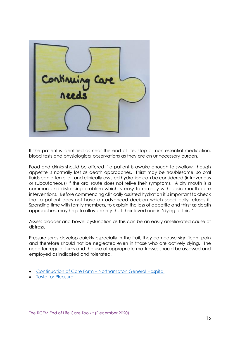

If the patient is identified as near the end of life, stop all non-essential medication, blood tests and physiological observations as they are an unnecessary burden.

Food and drinks should be offered if a patient is awake enough to swallow, though appetite is normally lost as death approaches. Thirst may be troublesome, so oral fluids can offer relief, and clinically assisted hydration can be considered (intravenous or subcutaneous) if the oral route does not relive their symptoms. A dry mouth is a common and distressing problem which is easy to remedy with basic mouth care interventions. Before commencing clinically assisted hydration it is important to check that a patient does not have an advanced decision which specifically refuses it. Spending time with family members, to explain the loss of appetite and thirst as death approaches, may help to allay anxiety that their loved one in 'dying of thirst'.

Assess bladder and bowel dysfunction as this can be an easily ameliorated cause of distress.

Pressure sores develop quickly especially in the frail, they can cause significant pain and therefore should not be neglected even in those who are actively dying. The need for regular turns and the use of appropriate mattresses should be assessed and employed as indicated and tolerated.

- Continuation of Care Form [Northampton General Hospital](https://www.rcem.ac.uk/docs/RCEM%20Guidance/Continuation%20of%20Care%20Form%20Northampton%20General%20Hospital.pdf)
- [Taste for Pleasure](https://fabnhsstuff.net/fab-stuff/SaTH%20gives%20end%20of%20life%20patients%20Taste%20for%20Pleasure)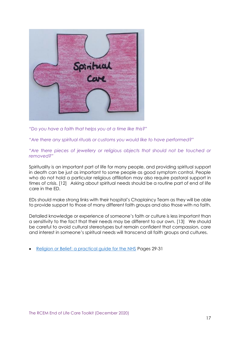

*"Do you have a faith that helps you at a time like this?"* 

*"Are there any spiritual rituals or customs you would like to have performed?"* 

#### *"Are there pieces of jewellery or religious objects that should not be touched or removed?"*

Spirituality is an important part of life for many people, and providing spiritual support in death can be just as important to some people as good symptom control. People who do not hold a particular religious affiliation may also require pastoral support in times of crisis. [12] Asking about spiritual needs should be a routine part of end of life care in the ED.

EDs should make strong links with their hospital's Chaplaincy Team as they will be able to provide support to those of many different faith groups and also those with no faith.

Detailed knowledge or experience of someone's faith or culture is less important than a sensitivity to the fact that their needs may be different to our own. [13] We should be careful to avoid cultural stereotypes but remain confident that compassion, care and interest in someone's spiritual needs will transcend all faith groups and cultures.

• [Religion or Belief: a practical guide for the NHS](https://webarchive.nationalarchives.gov.uk/20130123195548/http:/www.dh.gov.uk/en/Publicationsandstatistics/Publications/PublicationsPolicyAndGuidance/DH_093133) Pages 29-31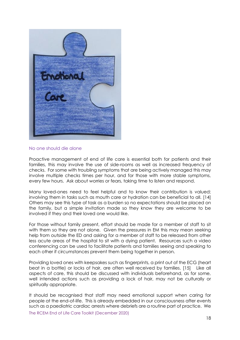

#### No one should die alone

Proactive management of end of life care is essential both for patients and their families, this may involve the use of side-rooms as well as increased frequency of checks. For some with troubling symptoms that are being actively managed this may involve multiple checks times per hour, and for those with more stable symptoms, every few hours. Ask about worries or fears, taking time to listen and respond.

Many loved-ones need to feel helpful and to know their contribution is valued; involving them in tasks such as mouth care or hydration can be beneficial to all. [14] Others may see this type of task as a burden so no expectations should be placed on the family, but a simple invitation made so they know they are welcome to be involved if they and their loved one would like.

For those without family present, effort should be made for a member of staff to sit with them so they are not alone. Given the pressures in EM this may mean seeking help from outside the ED and asking for a member of staff to be released from other less acute areas of the hospital to sit with a dying patient. Resources such a video conferencing can be used to facilitate patients and families seeing and speaking to each other if circumstances prevent them being together in person.

Providing loved ones with keepsakes such as fingerprints, a print out of the ECG (heart beat in a bottle) or locks of hair, are often well received by families. [15] Like all aspects of care, this should be discussed with individuals beforehand, as for some, well intended actions such as providing a lock of hair, may not be culturally or spiritually appropriate.

The RCEM End of Life Care Toolkit (December 2020) It should be recognised that staff may need emotional support when caring for people at the end-of-life. This is already embedded in our consciousness after events such as a paediatric cardiac arrests where debriefs are a routine part of practice. We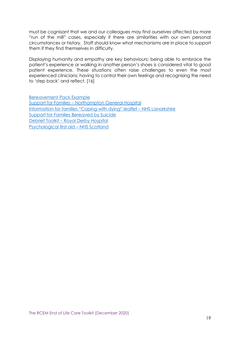must be cognisant that we and our colleagues may find ourselves affected by more "run of the mill" cases, especially if there are similarities with our own personal circumstances or history. Staff should know what mechanisms are in place to support them if they find themselves in difficulty.

Displaying humanity and empathy are key behaviours; being able to embrace the patient's experience or walking in another person's shoes is considered vital to good patient experience. These situations often raise challenges to even the most experienced clinicians; having to control their own feelings and recognising the need to 'step back' and reflect. [16]

[Bereavement Pack Example](https://www.rcem.ac.uk/docs/Local%20Guidelines_Audit%20Guidelines%20Protocols/Bereavement_pack_2020.pdf) Support for Families – [Northampton General Hospital](https://www.rcem.ac.uk/docs/RCEM%20Guidance/Supporting%20Families%20Northampton%20General%20Hospital.pdf) [Information for families "Coping with dying" leaflet –](https://www.rcem.ac.uk/docs/RCEM%20Guidance/Coping%20with%20Dying.pdf) NHS Lanarkshire [Support for Families Bereaved by Suicide](https://www.nhs.uk/Livewell/Suicide/Documents/Help%20is%20at%20Hand.pdf) Debrief Toolkit – [Royal Derby Hospital](https://www.rcem.ac.uk/docs/RCEM%20Guidance/Staff%20debrief%20toolkit%20-%20Derby%20and%20Burton%202018.pdf) [Psychological first aid](https://learn.nes.nhs.scot/28064/psychosocial-mental-health-and-wellbeing-support/taking-care-of-myself/psychological-first-aid) – NHS Scotland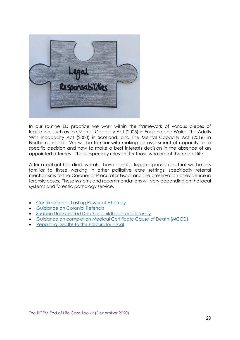

In our routine ED practice we work within the framework of various pieces of legislation, such as the Mental Capacity Act (2005) in England and Wales, The Adults With Incapacity Act (2000) in Scotland, and The Mental Capacity Act (2016) in Northern Ireland. We will be familiar with making an assessment of capacity for a specific decision and how to make a best interests decision in the absence of an appointed attorney. This is especially relevant for those who are at the end of life.

After a patient has died, we also have specific legal responsibilities that will be less familiar to those working in other palliative care settings, specifically referral mechanisms to the Coroner or Procurator Fiscal and the preservation of evidence in forensic cases. These systems and recommendations will vary depending on the local systems and forensic pathology service.

- [Confirmation of Lasting Power of Attorney](https://www.gov.uk/view-lasting-power-of-attorney)
- [Guidance on Coronial Referrals](https://www.gov.uk/government/publications/notification-of-deaths-regulations-2019-guidance)
- [Sudden Unexpected Death in childhood and Infancy](https://www.rcpath.org/resourceLibrary/sudden-unexpected-death-in-infancy-and-childhood-report.html)
- [Guidance on completion Medical Certificate Cause of Death \(MCCD\)](https://www.gov.uk/government/publications/guidance-notes-for-completing-a-medical-certificate-of-cause-of-death)
- [Reporting Deaths to the Procurator Fiscal](https://www.copfs.gov.uk/investigating-deaths/deaths)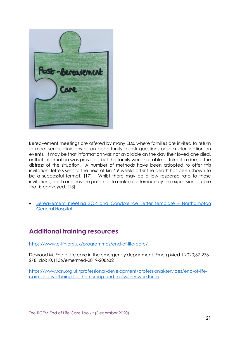

Bereavement meetings are offered by many EDs, where families are invited to return to meet senior clinicians as an opportunity to ask questions or seek clarification on events. It may be that information was not available on the day their loved one died, or that information was provided but the family were not able to take it in due to the distress of the situation. A number of methods have been adopted to offer this invitation; letters sent to the next-of-kin 4-6 weeks after the death has been shown to be a successful format. [17] Whilst there may be a low response rate to these invitations, each one has the potential to make a difference by the expression of care that is conveyed. [13]

• [Bereavement meeting SOP and](https://www.rcem.ac.uk/docs/RCEM%20Guidance/SOP%20for%20Post%20Bereavement%20Meetings%20Northampton%20General%20Hospital.pdf) Condolence Letter template – Northampton [General](https://www.rcem.ac.uk/docs/RCEM%20Guidance/SOP%20for%20Post%20Bereavement%20Meetings%20Northampton%20General%20Hospital.pdf) Hospital

# <span id="page-20-0"></span>**Additional training resources**

<https://www.e-lfh.org.uk/programmes/end-of-life-care/>

Dawood M. End of life care in the emergency department. Emerg Med J 2020;37:273– 278. doi:10.1136/emermed-2019-208632

[https://www.rcn.org.uk/professional-development/professional-services/end-of-life](https://www.rcn.org.uk/professional-development/professional-services/end-of-life-care-and-wellbeing-for-the-nursing-and-midwifery-workforce)[care-and-wellbeing-for-the-nursing-and-midwifery-workforce](https://www.rcn.org.uk/professional-development/professional-services/end-of-life-care-and-wellbeing-for-the-nursing-and-midwifery-workforce)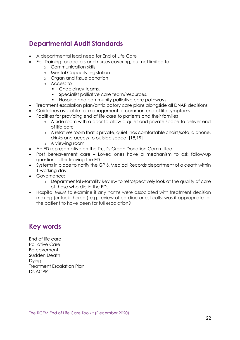## <span id="page-21-0"></span>**Departmental Audit Standards**

- A departmental lead need for End of Life Care
- EoL Training for doctors and nurses covering, but not limited to
	- o Communication skills
	- o Mental Capacity legislation
	- o Organ and tissue donation
	- o Access to
		- Chaplaincy teams,
		- **•** Specialist palliative care team/resources,
		- Hospice and community palliative care pathways
- Treatment escalation plan/anticipatory care plans alongside all DNAR decisions
- Guidelines available for management of common end of life symptoms
- Facilities for providing end of life care to patients and their families
	- o A side room with a door to allow a quiet and private space to deliver end of life care
	- o A relatives room that is private, quiet, has comfortable chairs/sofa, a phone, drinks and access to outside space. [18,19]
	- o A viewing room
- An ED representative on the Trust's Organ Donation Committee
- Post bereavement care Loved ones have a mechanism to ask follow-up questions after leaving the ED
- Systems in place to notify the GP & Medical Records department of a death within 1 working day.
- Governance:
	- o Departmental Mortality Review to retrospectively look at the quality of care of those who die in the ED.
- Hospital M&M to examine if any harms were associated with treatment decision making (or lack thereof) e.g. review of cardiac arrest calls; was it appropriate for the patient to have been for full escalation?

## <span id="page-21-1"></span>**Key words**

End of life care Palliative Care Bereavement Sudden Death Dying Treatment Escalation Plan DNACPR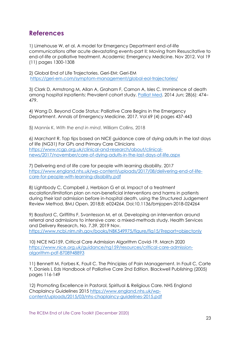## <span id="page-22-0"></span>**References**

1) Limehouse W, et al. A model for Emergency Department end-of-life communications after acute devastating events-part II: Moving from Resuscitative to end-of-life or palliative treatment. Academic Emergency Medicine. Nov 2012. Vol 19 (11) pages 1300-1308

2) Global End of Life Trajectories. Geri-EM: Geri-EM [https://geri-em.com/symptom-management/global-eol-trajectories/](about:blank)

3) Clark D, Armstrong M, Allan A, Graham F, Carnon A, Isles C. Imminence of death among hospital inpatients: Prevalent cohort study. [Palliat Med.](about:blank) 2014 Jun; 28(6): 474– 479.

4) Wang D. Beyond Code Status: Palliative Care Begins in the Emergency Department. Annals of Emergency Medicine. 2017. Vol 69 (4) pages 437-443

5) Mannix K. *With the end in mind*. William Collins, 2018

6) Marchant R. Top tips based on NICE guidance care of dying adults in the last days of life (NG31) For GPs and Primary Care Clinicians [https://www.rcgp.org.uk/clinical-and-research/about/clinical](https://www.rcgp.org.uk/clinical-and-research/about/clinical-news/2017/november/care-of-dying-adults-in-the-last-days-of-life.aspx)[news/2017/november/care-of-dying-adults-in-the-last-days-of-life.aspx](https://www.rcgp.org.uk/clinical-and-research/about/clinical-news/2017/november/care-of-dying-adults-in-the-last-days-of-life.aspx)

7) Delivering end of life care for people with learning disability. 2017 [https://www.england.nhs.uk/wp-content/uploads/2017/08/delivering-end-of-life](about:blank)[care-for-people-with-learning-disability.pdf](about:blank)

8) Lightbody C, Campbell J, Herbison G et al. Impact of a treatment escalation/limitation plan on non-beneficial interventions and harms in patients during their last admission before in-hospital death, using the Structured Judgement Review Method. BMJ Open. 2018;8: e024264. Doi;10.1136/bmjopen-2018-024264

9) Bassford C, Griffiths F, Svantesson M, et al. Developing an intervention around referral and admissions to intensive care: a mixed-methods study. Health Services and Delivery Research, No. 7.39. 2019 Nov. [https://www.ncbi.nlm.nih.gov/books/NBK549975/figure/fig15/?report=objectonly](about:blank)

10) NICE NG159, Critical Care Admission Algorithm Covid-19. March 2020 [https://www.nice.org.uk/guidance/ng159/resources/critical-care-admission](about:blank)[algorithm-pdf-8708948893](about:blank)

11) Bennett M, Forbes K, Faull C. The Principles of Pain Management. In Faull C, Carte Y, Daniels L Eds Handbook of Palliative Care 2nd Edition. Blackwell Publishing (2005) pages 116-149

12) Promoting Excellence in Pastoral, Spiritual & Religious Care. NHS England Chaplaincy Guidelines 2015 [https://www.england.nhs.uk/wp](about:blank)[content/uploads/2015/03/nhs-chaplaincy-guidelines-2015.pdf](about:blank)

The RCEM End of Life Care Toolkit (December 2020)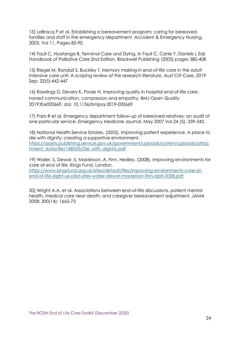13) LeBrocq P et al. Establishing a bereavement program: caring for bereaved families and staff in the emergency department. Accident & Emergency Nursing. 2003. Vol 11. Pages 85-90

14) Faull C, Nyatanga B. Terminal Care and Dying. In Faull C, Carte Y, Daniels L Eds Handbook of Palliative Care 2nd Edition. Blackwell Publishing (2005) pages 380-408

15) Riegel M, Randall S, Buckley T. Memory making in end-of-life care in the adult intensive care unit: A scoping review of the research literature. Aust Crit Care. 2019 Sep; 32(5):442-447

16) Rawlings D, Devery K, Poole N. Improving quality in hospital end-of-life care: honest communication, compassion and empathy. BMJ Open Quality 2019;8:e000669. doi: 10.1136/bmjoq-2019-000669

17) Paris R et al. Emergency department follow-up of bereaved relatives: an audit of one particular service. Emergency Medicine Journal. May 2007 Vol 24 (5): 339-342.

18) National Health Service Estates. (2005). Improving patient experience. A place to die with dignity: creating a supportive environment. [https://assets.publishing.service.gov.uk/government/uploads/system/uploads/attac](about:blank) [hment\\_data/file/148505/Die\\_with\\_dignity.pdf](about:blank)

19) Waller, S, Dewar, S, Masterson, A, Finn, Hedley. (2008). improving environments for care at end of life. Kings Fund, London. [https://www.kingsfund.org.uk/sites/default/files/improving-environments-care-at](about:blank)[end-of-life-eight-uk-pilot-sites-waller-dewar-masterson-finn-april-2008.pdf](about:blank)

20) Wright A.A. et al. Associations between end-of-life discussions, patient mental health, medical care near death, and caregiver bereavement adjustment. JAMA 2008; 300(14): 1665-73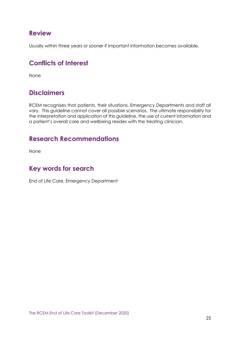## <span id="page-24-0"></span>**Review**

Usually within three years or sooner if important information becomes available.

# <span id="page-24-1"></span>**Conflicts of Interest**

None

## <span id="page-24-2"></span>**Disclaimers**

RCEM recognises that patients, their situations, Emergency Departments and staff all vary. This guideline cannot cover all possible scenarios. The ultimate responsibility for the interpretation and application of this guideline, the use of current information and a patient's overall care and wellbeing resides with the treating clinician.

## <span id="page-24-3"></span>**Research Recommendations**

None

# <span id="page-24-4"></span>**Key words for search**

End of Life Care, Emergency Department